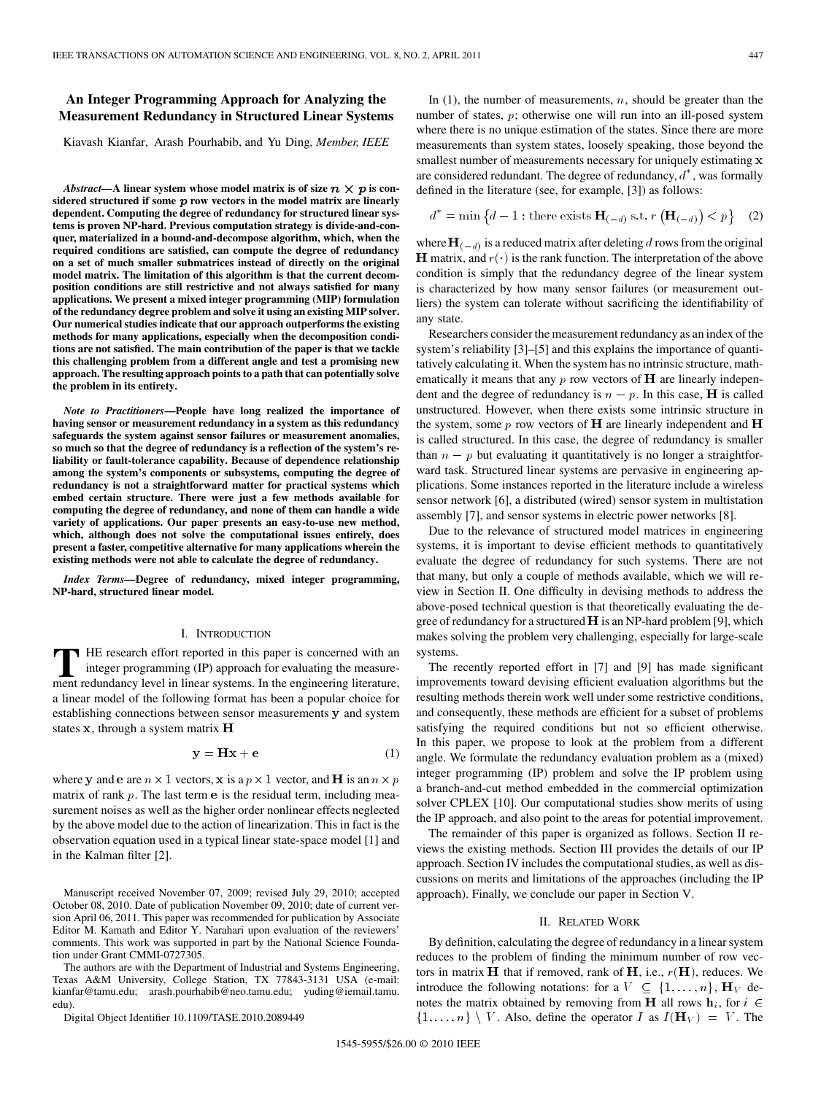# **An Integer Programming Approach for Analyzing the Measurement Redundancy in Structured Linear Systems**

Kiavash Kianfar, Arash Pourhabib, and Yu Ding*, Member, IEEE*

*Abstract*—A linear system whose model matrix is of size  $n \times p$  is considered structured if some  $p$  row vectors in the model matrix are linearly **dependent. Computing the degree of redundancy for structured linear systems is proven NP-hard. Previous computation strategy is divide-and-conquer, materialized in a bound-and-decompose algorithm, which, when the required conditions are satisfied, can compute the degree of redundancy on a set of much smaller submatrices instead of directly on the original model matrix. The limitation of this algorithm is that the current decomposition conditions are still restrictive and not always satisfied for many applications. We present a mixed integer programming (MIP) formulation of the redundancy degree problem and solve it using an existing MIP solver. Our numerical studies indicate that our approach outperforms the existing methods for many applications, especially when the decomposition conditions are not satisfied. The main contribution of the paper is that we tackle this challenging problem from a different angle and test a promising new approach. The resulting approach points to a path that can potentially solve the problem in its entirety.**

*Note to Practitioners***—People have long realized the importance of having sensor or measurement redundancy in a system as this redundancy safeguards the system against sensor failures or measurement anomalies, so much so that the degree of redundancy is a reflection of the system's reliability or fault-tolerance capability. Because of dependence relationship among the system's components or subsystems, computing the degree of redundancy is not a straightforward matter for practical systems which embed certain structure. There were just a few methods available for computing the degree of redundancy, and none of them can handle a wide variety of applications. Our paper presents an easy-to-use new method, which, although does not solve the computational issues entirely, does present a faster, competitive alternative for many applications wherein the existing methods were not able to calculate the degree of redundancy.**

*Index Terms—***Degree of redundancy, mixed integer programming, NP-hard, structured linear model.**

## I. INTRODUCTION

**T** HE research effort reported in this paper is concerned with an integer programming (IP) approach for evaluating the measurement redundancy level in linear systems. In the engineering literature, integer programming (IP) approach for evaluating the measurement redundancy level in linear systems. In the engineering literature, a linear model of the following format has been a popular choice for establishing connections between sensor measurements y and system states  $x$ , through a system matrix  $H$ 

$$
y = Hx + e \tag{1}
$$

where y and e are  $n \times 1$  vectors, x is a  $p \times 1$  vector, and **H** is an  $n \times p$ matrix of rank  $p$ . The last term  $e$  is the residual term, including measurement noises as well as the higher order nonlinear effects neglected by the above model due to the action of linearization. This in fact is the observation equation used in a typical linear state-space model [1] and in the Kalman filter [2].

Manuscript received November 07, 2009; revised July 29, 2010; accepted October 08, 2010. Date of publication November 09, 2010; date of current version April 06, 2011. This paper was recommended for publication by Associate Editor M. Kamath and Editor Y. Narahari upon evaluation of the reviewers' comments. This work was supported in part by the National Science Foundation under Grant CMMI-0727305.

The authors are with the Department of Industrial and Systems Engineering, Texas A&M University, College Station, TX 77843-3131 USA (e-mail: kianfar@tamu.edu; arash.pourhabib@neo.tamu.edu; yuding@iemail.tamu. edu).

Digital Object Identifier 10.1109/TASE.2010.2089449

In  $(1)$ , the number of measurements, n, should be greater than the number of states,  $p$ ; otherwise one will run into an ill-posed system where there is no unique estimation of the states. Since there are more measurements than system states, loosely speaking, those beyond the smallest number of measurements necessary for uniquely estimating  $x$ are considered redundant. The degree of redundancy,  $d^*$ , was formally defined in the literature (see, for example, [3]) as follows:

$$
d^* = \min\left\{d - 1: \text{there exists } \mathbf{H}_{(-d)} \text{ s.t. } r\left(\mathbf{H}_{(-d)}\right) < p\right\} \tag{2}
$$

where  $\mathbf{H}_{(-d)}$  is a reduced matrix after deleting d rows from the original **H** matrix, and  $r(\cdot)$  is the rank function. The interpretation of the above condition is simply that the redundancy degree of the linear system is characterized by how many sensor failures (or measurement outliers) the system can tolerate without sacrificing the identifiability of any state.

Researchers consider the measurement redundancy as an index of the system's reliability [3]–[5] and this explains the importance of quantitatively calculating it. When the system has no intrinsic structure, mathematically it means that any  $p$  row vectors of  $H$  are linearly independent and the degree of redundancy is  $n - p$ . In this case, **H** is called unstructured. However, when there exists some intrinsic structure in the system, some  $p$  row vectors of **H** are linearly independent and **H** is called structured. In this case, the degree of redundancy is smaller than  $n - p$  but evaluating it quantitatively is no longer a straightforward task. Structured linear systems are pervasive in engineering applications. Some instances reported in the literature include a wireless sensor network [6], a distributed (wired) sensor system in multistation assembly [7], and sensor systems in electric power networks [8].

Due to the relevance of structured model matrices in engineering systems, it is important to devise efficient methods to quantitatively evaluate the degree of redundancy for such systems. There are not that many, but only a couple of methods available, which we will review in Section II. One difficulty in devising methods to address the above-posed technical question is that theoretically evaluating the degree of redundancy for a structured  $H$  is an NP-hard problem [9], which makes solving the problem very challenging, especially for large-scale systems.

The recently reported effort in [7] and [9] has made significant improvements toward devising efficient evaluation algorithms but the resulting methods therein work well under some restrictive conditions, and consequently, these methods are efficient for a subset of problems satisfying the required conditions but not so efficient otherwise. In this paper, we propose to look at the problem from a different angle. We formulate the redundancy evaluation problem as a (mixed) integer programming (IP) problem and solve the IP problem using a branch-and-cut method embedded in the commercial optimization solver CPLEX [10]. Our computational studies show merits of using the IP approach, and also point to the areas for potential improvement.

The remainder of this paper is organized as follows. Section II reviews the existing methods. Section III provides the details of our IP approach. Section IV includes the computational studies, as well as discussions on merits and limitations of the approaches (including the IP approach). Finally, we conclude our paper in Section V.

# II. RELATED WORK

By definition, calculating the degree of redundancy in a linear system reduces to the problem of finding the minimum number of row vectors in matrix **H** that if removed, rank of **H**, i.e.,  $r(\mathbf{H})$ , reduces. We introduce the following notations: for a  $V \subseteq \{1, \ldots, n\}$ ,  $\mathbf{H}_V$  denotes the matrix obtained by removing from **H** all rows  $\mathbf{h}_i$ , for  $i \in$  $\{1,\ldots,n\} \setminus V$ . Also, define the operator I as  $I(\mathbf{H}_V) = V$ . The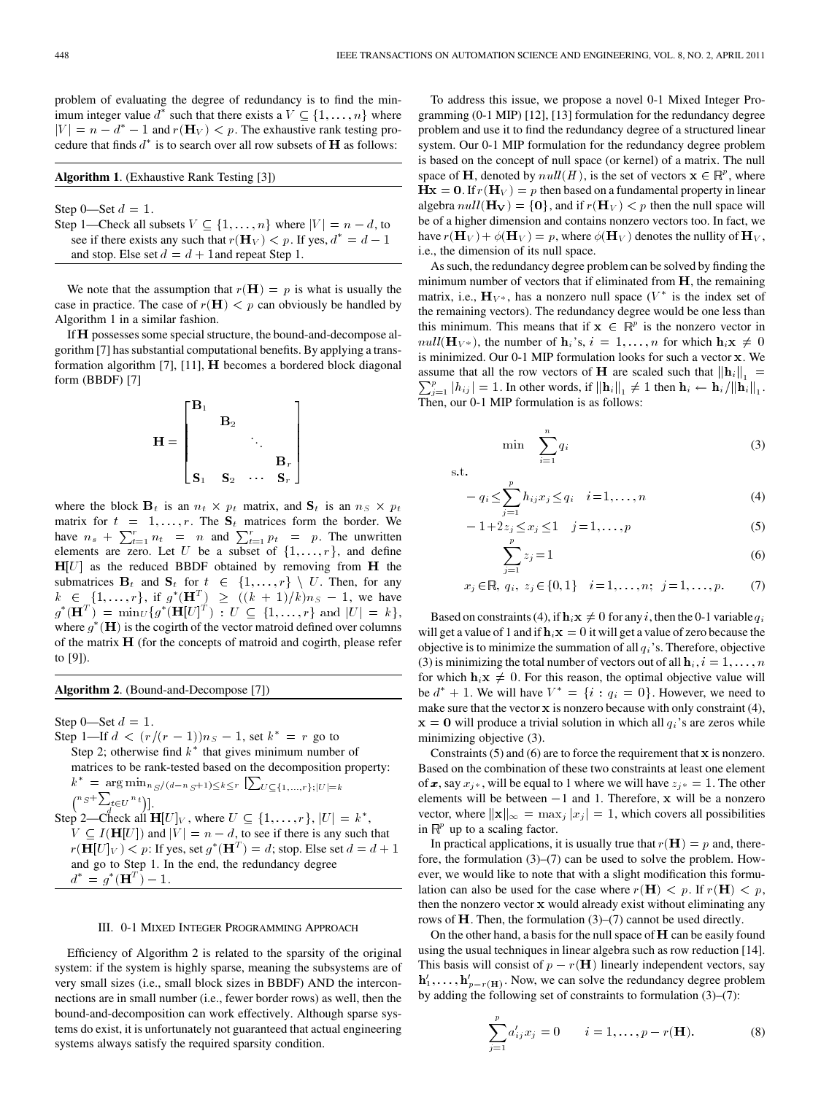problem of evaluating the degree of redundancy is to find the minimum integer value  $d^*$  such that there exists a  $V \subseteq \{1, \ldots, n\}$  where  $|V| = n - d^* - 1$  and  $r(\mathbf{H}_V) < p$ . The exhaustive rank testing procedure that finds  $d^*$  is to search over all row subsets of **H** as follows:

|  |  | Algorithm 1. (Exhaustive Rank Testing [3]) |
|--|--|--------------------------------------------|
|--|--|--------------------------------------------|

Step 0—Set  $d = 1$ .

Step 1—Check all subsets  $V \subseteq \{1, \ldots, n\}$  where  $|V| = n - d$ , to see if there exists any such that  $r(H_V) < p$ . If yes,  $d^* = d - 1$ and stop. Else set  $d = d + 1$  and repeat Step 1.

We note that the assumption that  $r(\mathbf{H}) = p$  is what is usually the case in practice. The case of  $r(H) < p$  can obviously be handled by Algorithm 1 in a similar fashion.

If H possesses some special structure, the bound-and-decompose algorithm [7] has substantial computational benefits. By applying a transformation algorithm  $[7]$ ,  $[11]$ ,  $H$  becomes a bordered block diagonal form (BBDF) [7]

$$
\mathbf{H} = \begin{bmatrix} \mathbf{B}_1 & & & \\ & \mathbf{B}_2 & & \\ & & \ddots & \\ & & & \mathbf{B}_r \\ \mathbf{S}_1 & \mathbf{S}_2 & \cdots & \mathbf{S}_r \end{bmatrix}
$$

where the block  $\mathbf{B}_t$  is an  $n_t \times p_t$  matrix, and  $\mathbf{S}_t$  is an  $n_s \times p_t$ matrix for  $t = 1, ..., r$ . The  $S_t$  matrices form the border. We have  $n_s + \sum_{t=1}^r n_t = n$  and  $\sum_{t=1}^r p_t = p$ . The unwritten elements are zero. Let U be a subset of  $\{1, \ldots, r\}$ , and define  $H[U]$  as the reduced BBDF obtained by removing from  $H$  the submatrices  $\mathbf{B}_t$  and  $\mathbf{S}_t$  for  $t \in \{1, \ldots, r\} \setminus U$ . Then, for any  $k \in \{1, ..., r\}$ , if  $g^*(\mathbf{H}^T) \ge (k+1)/k \mid n_S - 1$ , we have  $g^*(\mathbf{H}^T) = \min_U \{ g^*(\mathbf{H}[U]^T) : U \subseteq \{1, \ldots, r\} \text{ and } |U| = k \},$ where  $g^*(\mathbf{H})$  is the cogirth of the vector matroid defined over columns of the matrix  $H$  (for the concepts of matroid and cogirth, please refer to [9]).

**Algorithm 2**. (Bound-and-Decompose [7])

Step 0—Set  $d = 1$ .

Step 1—If  $d < (r/(r-1))n_S - 1$ , set  $k^* = r$  go to Step 2; otherwise find  $k^*$  that gives minimum number of matrices to be rank-tested based on the decomposition property:  $k^* = \arg \min_{n_S/(d-n_S+1)\leq k\leq r} [\sum_{U \subseteq \{1,\ldots,r\}; |U|=k}]$  $\binom{n_S + \sum_{t \in U} n_t}{d}$ . Step 2—Check all  $\mathbf{H}[U]_V$ , where  $U \subseteq \{1, \ldots, r\}$ ,  $|U| = k^*$ ,  $V \subseteq I(H[U])$  and  $|V| = n - d$ , to see if there is any such that  $r(H[U]_V) < p$ : If yes, set  $g^*(\mathbf{H}^T) = d$ ; stop. Else set  $d = d + 1$ and go to Step 1. In the end, the redundancy degree  $d^* = g^*(\mathbf{H}^T) - 1.$ 

## III. 0-1 MIXED INTEGER PROGRAMMING APPROACH

Efficiency of Algorithm 2 is related to the sparsity of the original system: if the system is highly sparse, meaning the subsystems are of very small sizes (i.e., small block sizes in BBDF) AND the interconnections are in small number (i.e., fewer border rows) as well, then the bound-and-decomposition can work effectively. Although sparse systems do exist, it is unfortunately not guaranteed that actual engineering systems always satisfy the required sparsity condition.

To address this issue, we propose a novel 0-1 Mixed Integer Programming (0-1 MIP) [12], [13] formulation for the redundancy degree problem and use it to find the redundancy degree of a structured linear system. Our 0-1 MIP formulation for the redundancy degree problem is based on the concept of null space (or kernel) of a matrix. The null space of **H**, denoted by  $null(H)$ , is the set of vectors  $\mathbf{x} \in \mathbb{R}^p$ , where  $\mathbf{Hx} = \mathbf{0}$ . If  $r(\mathbf{H}_V) = p$  then based on a fundamental property in linear algebra  $null(\mathbf{H}_{\mathbf{V}}) = \{0\}$ , and if  $r(\mathbf{H}_{V}) < p$  then the null space will be of a higher dimension and contains nonzero vectors too. In fact, we have  $r(\mathbf{H}_V) + \phi(\mathbf{H}_V) = p$ , where  $\phi(\mathbf{H}_V)$  denotes the nullity of  $\mathbf{H}_V$ , i.e., the dimension of its null space.

As such, the redundancy degree problem can be solved by finding the minimum number of vectors that if eliminated from  $H$ , the remaining matrix, i.e.,  $\mathbf{H}_{V^*}$ , has a nonzero null space  $(V^*)$  is the index set of the remaining vectors). The redundancy degree would be one less than this minimum. This means that if  $x \in \mathbb{R}^p$  is the nonzero vector in  $null(\mathbf{H}_{V^*})$ , the number of  $\mathbf{h}_i$ 's,  $i = 1, ..., n$  for which  $\mathbf{h}_i \mathbf{x} \neq 0$ is minimized. Our 0-1 MIP formulation looks for such a vector x. We assume that all the row vectors of **H** are scaled such that  $||\mathbf{h}_i||_1 =$  $\sum_{i=1}^p |h_{ij}| = 1$ . In other words, if  $\|\mathbf{h}_i\|_1 \neq 1$  then  $\mathbf{h}_i \leftarrow \mathbf{h}_i / \|\mathbf{h}_i\|_1$ . Then, our 0-1 MIP formulation is as follows:

$$
\min \sum_{i=1}^{n} q_i \tag{3}
$$

s.t.  

$$
- q_i \le \sum_{j=1}^p h_{ij} x_j \le q_i \quad i = 1, ..., n
$$
 (4)

$$
-1+2z_j \leq x_j \leq 1 \quad j=1,\ldots,p
$$
\n<sup>(5)</sup>

$$
\sum_{j=1}^{P} z_j = 1\tag{6}
$$

$$
x_j \in \mathbb{R}, q_i, z_j \in \{0, 1\}
$$
  $i = 1, ..., n; j = 1, ..., p.$  (7)

Based on constraints (4), if  $\mathbf{h}_i \mathbf{x} \neq 0$  for any *i*, then the 0-1 variable  $q_i$ will get a value of 1 and if  $h_i x = 0$  it will get a value of zero because the objective is to minimize the summation of all  $q_i$ 's. Therefore, objective (3) is minimizing the total number of vectors out of all  $\mathbf{h}_i$ ,  $i = 1, \dots, n$ for which  $h_i x \neq 0$ . For this reason, the optimal objective value will be  $d^* + 1$ . We will have  $V^* = \{i : q_i = 0\}$ . However, we need to make sure that the vector  $x$  is nonzero because with only constraint (4),  $x = 0$  will produce a trivial solution in which all  $q_i$ 's are zeros while minimizing objective (3).

Constraints  $(5)$  and  $(6)$  are to force the requirement that  $x$  is nonzero. Based on the combination of these two constraints at least one element of x, say  $x_{i^*}$ , will be equal to 1 where we will have  $z_{i^*} = 1$ . The other elements will be between  $-1$  and 1. Therefore,  $x$  will be a nonzero vector, where  $\|\mathbf{x}\|_{\infty} = \max_{j} |x_j| = 1$ , which covers all possibilities in  $\mathbb{R}^p$  up to a scaling factor.

In practical applications, it is usually true that  $r(\mathbf{H}) = p$  and, therefore, the formulation (3)–(7) can be used to solve the problem. However, we would like to note that with a slight modification this formulation can also be used for the case where  $r(H) < p$ . If  $r(H) < p$ , then the nonzero vector  $x$  would already exist without eliminating any rows of  $H$ . Then, the formulation (3)–(7) cannot be used directly.

On the other hand, a basis for the null space of  $H$  can be easily found using the usual techniques in linear algebra such as row reduction [14]. This basis will consist of  $p - r(\mathbf{H})$  linearly independent vectors, say  $\mathbf{h}'_1, \ldots, \mathbf{h}'_{p-r(\mathbf{H})}$ . Now, we can solve the redundancy degree problem by adding the following set of constraints to formulation (3)–(7):

$$
\sum_{j=1}^{p} a'_{ij} x_j = 0 \qquad i = 1, \dots, p - r(\mathbf{H}). \tag{8}
$$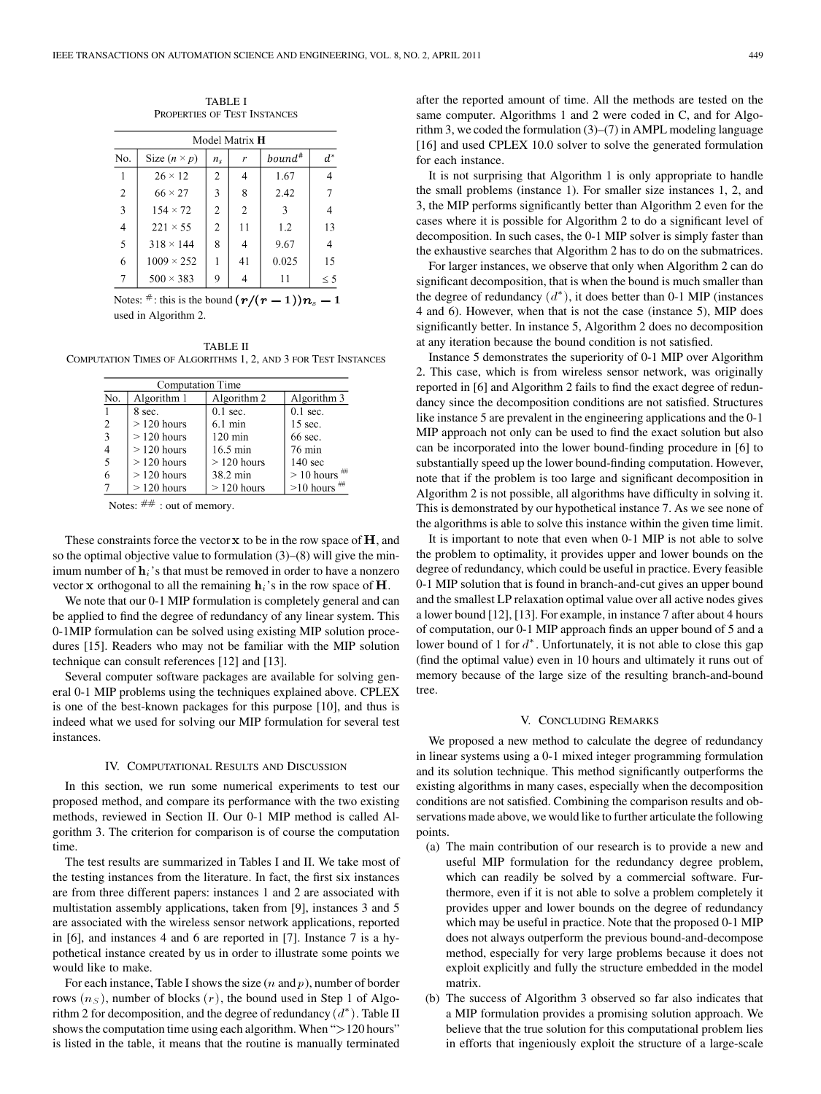TABLE I PROPERTIES OF TEST INSTANCES

| Model Matrix <b>H</b> |                     |                |                |           |          |  |  |
|-----------------------|---------------------|----------------|----------------|-----------|----------|--|--|
| No.                   | Size $(n \times p)$ | $n_{\rm s}$    | r              | $bound^*$ | $d^*$    |  |  |
|                       | $26 \times 12$      | 2              |                | 1.67      |          |  |  |
| $\overline{2}$        | $66 \times 27$      | 3              | 8              | 2.42      |          |  |  |
| 3                     | $154 \times 72$     | $\overline{c}$ | $\overline{2}$ | 3         |          |  |  |
| $\overline{4}$        | $221 \times 55$     | $\overline{2}$ | 11             | 1.2       | 13       |  |  |
| 5                     | $318 \times 144$    | 8              |                | 9.67      |          |  |  |
| 6                     | $1009 \times 252$   |                | 41             | 0.025     | 15       |  |  |
| 7                     | $500 \times 383$    | 9              |                | 11        | $\leq$ 5 |  |  |

Notes:  $\pi$ : this is the bound  $(r/(r-1))n_s-1$ used in Algorithm 2.

TABLE II COMPUTATION TIMES OF ALGORITHMS 1, 2, AND 3 FOR TEST INSTANCES

| Computation Time        |              |                   |                     |  |  |  |  |
|-------------------------|--------------|-------------------|---------------------|--|--|--|--|
| No.                     | Algorithm 1  | Algorithm 2       | Algorithm 3         |  |  |  |  |
| 1                       | 8 sec.       | $0.1$ sec.        | $0.1$ sec.          |  |  |  |  |
| $\overline{2}$          | $>120$ hours | $6.1 \text{ min}$ | 15 sec.             |  |  |  |  |
| $\overline{\mathbf{3}}$ | $>120$ hours | $120 \text{ min}$ | 66 sec.             |  |  |  |  |
| 4                       | $>120$ hours | 16.5 min          | 76 min              |  |  |  |  |
| 5                       | $>120$ hours | $>120$ hours      | $140 \text{ sec}$   |  |  |  |  |
| 6                       | $>120$ hours | 38.2 min          | ##<br>$> 10$ hours  |  |  |  |  |
| 7                       | $>120$ hours | $>120$ hours      | $>10$ hours $^{\#}$ |  |  |  |  |

Notes:  $\#$  # : out of memory.

These constraints force the vector  $x$  to be in the row space of  $H$ , and so the optimal objective value to formulation  $(3)$ – $(8)$  will give the minimum number of  $\mathbf{h}_i$ 's that must be removed in order to have a nonzero vector x orthogonal to all the remaining  $h_i$ 's in the row space of  $H$ .

We note that our 0-1 MIP formulation is completely general and can be applied to find the degree of redundancy of any linear system. This 0-1MIP formulation can be solved using existing MIP solution procedures [15]. Readers who may not be familiar with the MIP solution technique can consult references [12] and [13].

Several computer software packages are available for solving general 0-1 MIP problems using the techniques explained above. CPLEX is one of the best-known packages for this purpose [10], and thus is indeed what we used for solving our MIP formulation for several test instances.

### IV. COMPUTATIONAL RESULTS AND DISCUSSION

In this section, we run some numerical experiments to test our proposed method, and compare its performance with the two existing methods, reviewed in Section II. Our 0-1 MIP method is called Algorithm 3. The criterion for comparison is of course the computation time.

The test results are summarized in Tables I and II. We take most of the testing instances from the literature. In fact, the first six instances are from three different papers: instances 1 and 2 are associated with multistation assembly applications, taken from [9], instances 3 and 5 are associated with the wireless sensor network applications, reported in [6], and instances 4 and 6 are reported in [7]. Instance 7 is a hypothetical instance created by us in order to illustrate some points we would like to make.

For each instance, Table I shows the size  $(n$  and  $p)$ , number of border rows  $(n<sub>S</sub>)$ , number of blocks  $(r)$ , the bound used in Step 1 of Algorithm 2 for decomposition, and the degree of redundancy  $(d^*)$ . Table II shows the computation time using each algorithm. When ">120 hours" is listed in the table, it means that the routine is manually terminated after the reported amount of time. All the methods are tested on the same computer. Algorithms 1 and 2 were coded in C, and for Algorithm 3, we coded the formulation (3)–(7) in AMPL modeling language [16] and used CPLEX 10.0 solver to solve the generated formulation for each instance.

It is not surprising that Algorithm 1 is only appropriate to handle the small problems (instance 1). For smaller size instances 1, 2, and 3, the MIP performs significantly better than Algorithm 2 even for the cases where it is possible for Algorithm 2 to do a significant level of decomposition. In such cases, the 0-1 MIP solver is simply faster than the exhaustive searches that Algorithm 2 has to do on the submatrices.

For larger instances, we observe that only when Algorithm 2 can do significant decomposition, that is when the bound is much smaller than the degree of redundancy  $(d^*)$ , it does better than 0-1 MIP (instances 4 and 6). However, when that is not the case (instance 5), MIP does significantly better. In instance 5, Algorithm 2 does no decomposition at any iteration because the bound condition is not satisfied.

Instance 5 demonstrates the superiority of 0-1 MIP over Algorithm 2. This case, which is from wireless sensor network, was originally reported in [6] and Algorithm 2 fails to find the exact degree of redundancy since the decomposition conditions are not satisfied. Structures like instance 5 are prevalent in the engineering applications and the 0-1 MIP approach not only can be used to find the exact solution but also can be incorporated into the lower bound-finding procedure in [6] to substantially speed up the lower bound-finding computation. However, note that if the problem is too large and significant decomposition in Algorithm 2 is not possible, all algorithms have difficulty in solving it. This is demonstrated by our hypothetical instance 7. As we see none of the algorithms is able to solve this instance within the given time limit.

It is important to note that even when 0-1 MIP is not able to solve the problem to optimality, it provides upper and lower bounds on the degree of redundancy, which could be useful in practice. Every feasible 0-1 MIP solution that is found in branch-and-cut gives an upper bound and the smallest LP relaxation optimal value over all active nodes gives a lower bound [12], [13]. For example, in instance 7 after about 4 hours of computation, our 0-1 MIP approach finds an upper bound of 5 and a lower bound of 1 for  $d^*$ . Unfortunately, it is not able to close this gap (find the optimal value) even in 10 hours and ultimately it runs out of memory because of the large size of the resulting branch-and-bound tree.

# V. CONCLUDING REMARKS

We proposed a new method to calculate the degree of redundancy in linear systems using a 0-1 mixed integer programming formulation and its solution technique. This method significantly outperforms the existing algorithms in many cases, especially when the decomposition conditions are not satisfied. Combining the comparison results and observations made above, we would like to further articulate the following points.

- (a) The main contribution of our research is to provide a new and useful MIP formulation for the redundancy degree problem, which can readily be solved by a commercial software. Furthermore, even if it is not able to solve a problem completely it provides upper and lower bounds on the degree of redundancy which may be useful in practice. Note that the proposed 0-1 MIP does not always outperform the previous bound-and-decompose method, especially for very large problems because it does not exploit explicitly and fully the structure embedded in the model matrix.
- (b) The success of Algorithm 3 observed so far also indicates that a MIP formulation provides a promising solution approach. We believe that the true solution for this computational problem lies in efforts that ingeniously exploit the structure of a large-scale